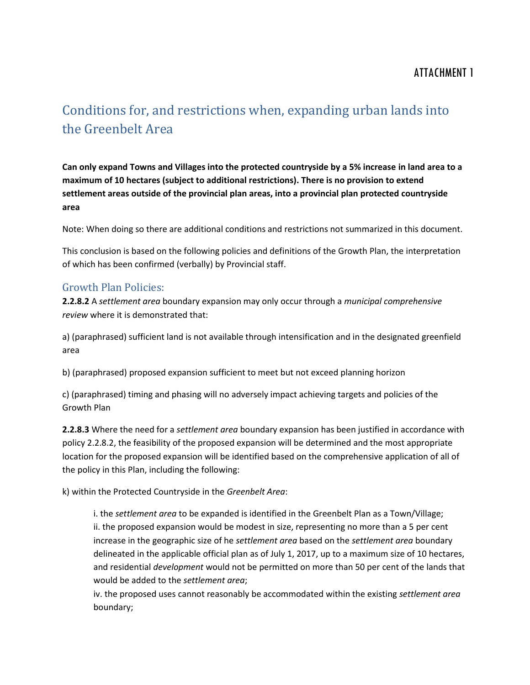## ATTACHMENT 1

# Conditions for, and restrictions when, expanding urban lands into the Greenbelt Area

**Can only expand Towns and Villages into the protected countryside by a 5% increase in land area to a maximum of 10 hectares (subject to additional restrictions). There is no provision to extend settlement areas outside of the provincial plan areas, into a provincial plan protected countryside area**

Note: When doing so there are additional conditions and restrictions not summarized in this document.

This conclusion is based on the following policies and definitions of the Growth Plan, the interpretation of which has been confirmed (verbally) by Provincial staff.

### Growth Plan Policies:

**2.2.8.2** A *settlement area* boundary expansion may only occur through a *municipal comprehensive review* where it is demonstrated that:

a) (paraphrased) sufficient land is not available through intensification and in the designated greenfield area

b) (paraphrased) proposed expansion sufficient to meet but not exceed planning horizon

c) (paraphrased) timing and phasing will no adversely impact achieving targets and policies of the Growth Plan

**2.2.8.3** Where the need for a *settlement area* boundary expansion has been justified in accordance with policy 2.2.8.2, the feasibility of the proposed expansion will be determined and the most appropriate location for the proposed expansion will be identified based on the comprehensive application of all of the policy in this Plan, including the following:

k) within the Protected Countryside in the *Greenbelt Area*:

i. the *settlement area* to be expanded is identified in the Greenbelt Plan as a Town/Village; ii. the proposed expansion would be modest in size, representing no more than a 5 per cent increase in the geographic size of he *settlement area* based on the *settlement area* boundary delineated in the applicable official plan as of July 1, 2017, up to a maximum size of 10 hectares, and residential *development* would not be permitted on more than 50 per cent of the lands that would be added to the *settlement area*;

iv. the proposed uses cannot reasonably be accommodated within the existing *settlement area* boundary;